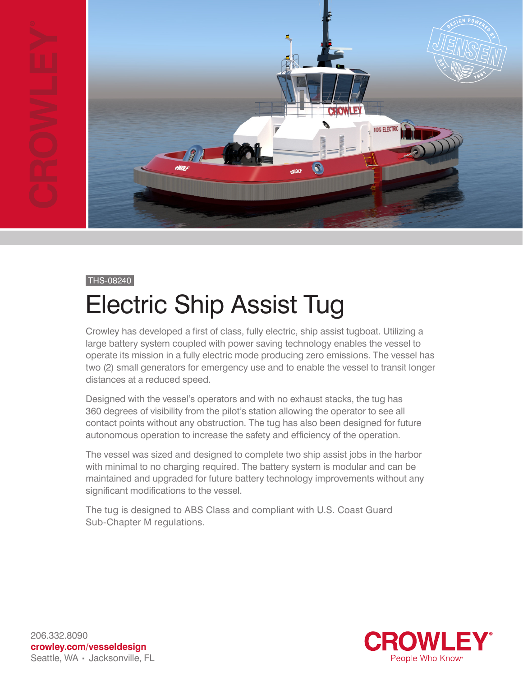

#### THS-08240

## Electric Ship Assist Tug

Crowley has developed a first of class, fully electric, ship assist tugboat. Utilizing a large battery system coupled with power saving technology enables the vessel to operate its mission in a fully electric mode producing zero emissions. The vessel has two (2) small generators for emergency use and to enable the vessel to transit longer distances at a reduced speed.

Designed with the vessel's operators and with no exhaust stacks, the tug has 360 degrees of visibility from the pilot's station allowing the operator to see all contact points without any obstruction. The tug has also been designed for future autonomous operation to increase the safety and efficiency of the operation.

The vessel was sized and designed to complete two ship assist jobs in the harbor with minimal to no charging required. The battery system is modular and can be maintained and upgraded for future battery technology improvements without any significant modifications to the vessel.

The tug is designed to ABS Class and compliant with U.S. Coast Guard Sub-Chapter M regulations.



206.332.8090 **crowley.com/vesseldesign** Seattle, WA · Jacksonville, FL